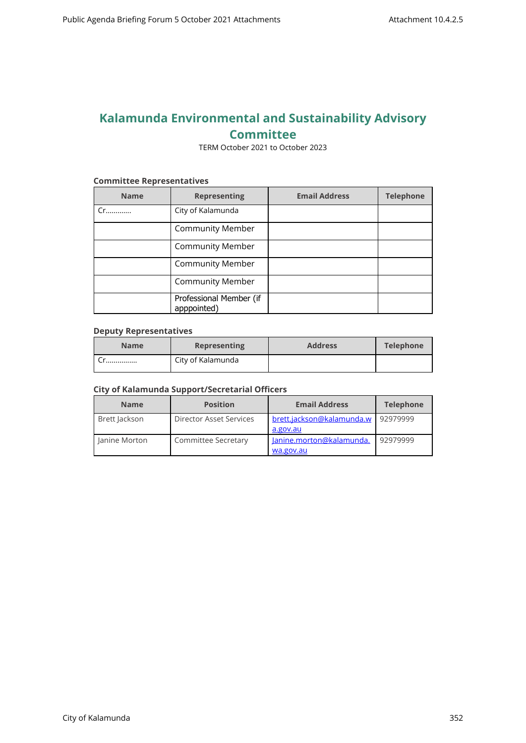# **Kalamunda Environmental and Sustainability Advisory Committee**

TERM October 2021 to October 2023

#### **Committee Representatives**

| <b>Name</b>    | <b>Representing</b>                    | <b>Email Address</b> | <b>Telephone</b> |
|----------------|----------------------------------------|----------------------|------------------|
| $Cr_{\ldots},$ | City of Kalamunda                      |                      |                  |
|                | <b>Community Member</b>                |                      |                  |
|                | <b>Community Member</b>                |                      |                  |
|                | <b>Community Member</b>                |                      |                  |
|                | <b>Community Member</b>                |                      |                  |
|                | Professional Member (if<br>apppointed) |                      |                  |

#### **Deputy Representatives**

| <b>Name</b> | <b>Representing</b> | <b>Address</b> | <b>Telephone</b> |
|-------------|---------------------|----------------|------------------|
|             | City of Kalamunda   |                |                  |

#### **City of Kalamunda Support/Secretarial Officers**

| <b>Name</b>   | <b>Position</b>            | <b>Email Address</b>                  | <b>Telephone</b> |
|---------------|----------------------------|---------------------------------------|------------------|
| Brett Jackson | Director Asset Services    | brett.jackson@kalamunda.w<br>a.gov.au | 92979999         |
| Janine Morton | <b>Committee Secretary</b> | Janine.morton@kalamunda.<br>wa.gov.au | 92979999         |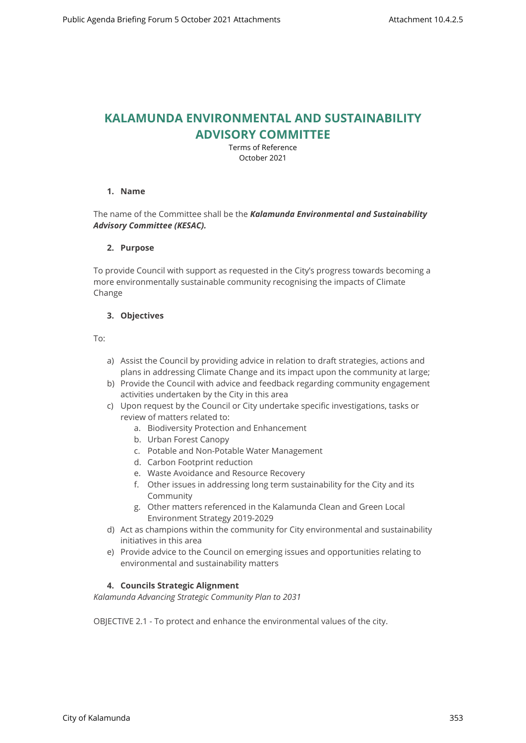## **KALAMUNDA ENVIRONMENTAL AND SUSTAINABILITY ADVISORY COMMITTEE**

Terms of Reference October 2021

## **1. Name**

## The name of the Committee shall be the *Kalamunda Environmental and Sustainability Advisory Committee (KESAC).*

## **2. Purpose**

To provide Council with support as requested in the City's progress towards becoming a more environmentally sustainable community recognising the impacts of Climate Change

## **3. Objectives**

To:

- a) Assist the Council by providing advice in relation to draft strategies, actions and plans in addressing Climate Change and its impact upon the community at large;
- b) Provide the Council with advice and feedback regarding community engagement activities undertaken by the City in this area
- c) Upon request by the Council or City undertake specific investigations, tasks or review of matters related to:
	- a. Biodiversity Protection and Enhancement
	- b. Urban Forest Canopy
	- c. Potable and Non-Potable Water Management
	- d. Carbon Footprint reduction
	- e. Waste Avoidance and Resource Recovery
	- f. Other issues in addressing long term sustainability for the City and its Community
	- g. Other matters referenced in the Kalamunda Clean and Green Local Environment Strategy 2019-2029
- d) Act as champions within the community for City environmental and sustainability initiatives in this area
- e) Provide advice to the Council on emerging issues and opportunities relating to environmental and sustainability matters

## **4. Councils Strategic Alignment**

*Kalamunda Advancing Strategic Community Plan to 2031* 

OBJECTIVE 2.1 - To protect and enhance the environmental values of the city.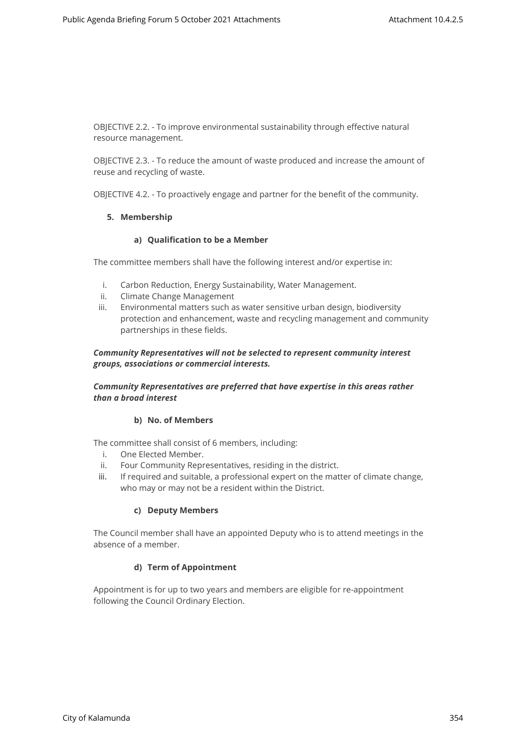OBJECTIVE 2.2. - To improve environmental sustainability through effective natural resource management.

OBJECTIVE 2.3. - To reduce the amount of waste produced and increase the amount of reuse and recycling of waste.

OBJECTIVE 4.2. - To proactively engage and partner for the benefit of the community.

#### **5. Membership**

#### **a) Qualification to be a Member**

The committee members shall have the following interest and/or expertise in:

- i. Carbon Reduction, Energy Sustainability, Water Management.
- ii. Climate Change Management
- iii. Environmental matters such as water sensitive urban design, biodiversity protection and enhancement, waste and recycling management and community partnerships in these fields.

## *Community Representatives will not be selected to represent community interest groups, associations or commercial interests.*

## *Community Representatives are preferred that have expertise in this areas rather than a broad interest*

## **b) No. of Members**

The committee shall consist of 6 members, including:

- i. One Elected Member.
- ii. Four Community Representatives, residing in the district.
- iii. If required and suitable, a professional expert on the matter of climate change, who may or may not be a resident within the District.

## **c) Deputy Members**

The Council member shall have an appointed Deputy who is to attend meetings in the absence of a member.

## **d) Term of Appointment**

Appointment is for up to two years and members are eligible for re-appointment following the Council Ordinary Election.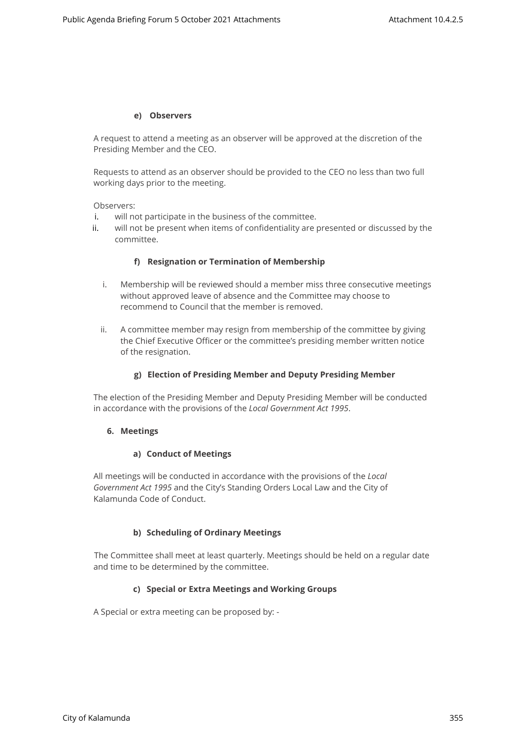#### **e) Observers**

A request to attend a meeting as an observer will be approved at the discretion of the Presiding Member and the CEO.

Requests to attend as an observer should be provided to the CEO no less than two full working days prior to the meeting.

Observers:

- i. will not participate in the business of the committee.
- ii. will not be present when items of confidentiality are presented or discussed by the committee.

#### **f) Resignation or Termination of Membership**

- i. Membership will be reviewed should a member miss three consecutive meetings without approved leave of absence and the Committee may choose to recommend to Council that the member is removed.
- ii. A committee member may resign from membership of the committee by giving the Chief Executive Officer or the committee's presiding member written notice of the resignation.

#### **g) Election of Presiding Member and Deputy Presiding Member**

The election of the Presiding Member and Deputy Presiding Member will be conducted in accordance with the provisions of the *Local Government Act 1995*.

#### **6. Meetings**

#### **a) Conduct of Meetings**

All meetings will be conducted in accordance with the provisions of the *Local Government Act 1995* and the City's Standing Orders Local Law and the City of Kalamunda Code of Conduct.

## **b) Scheduling of Ordinary Meetings**

The Committee shall meet at least quarterly. Meetings should be held on a regular date and time to be determined by the committee.

#### **c) Special or Extra Meetings and Working Groups**

A Special or extra meeting can be proposed by: -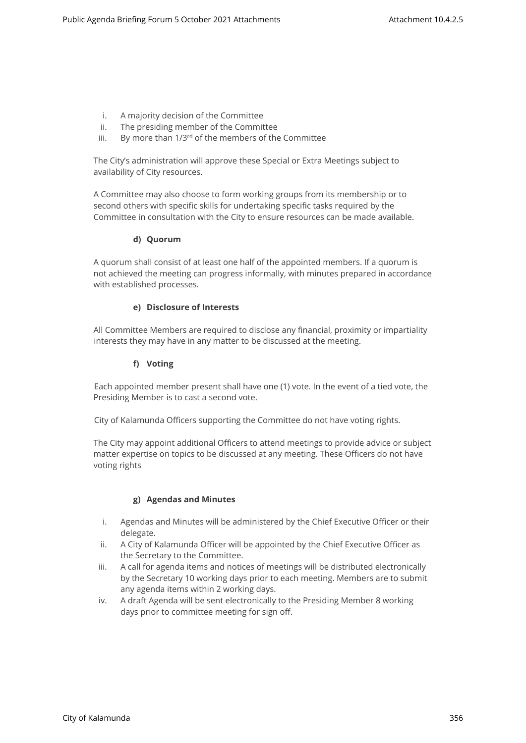- i. A majority decision of the Committee
- ii. The presiding member of the Committee
- iii. By more than 1/3<sup>rd</sup> of the members of the Committee

The City's administration will approve these Special or Extra Meetings subject to availability of City resources.

A Committee may also choose to form working groups from its membership or to second others with specific skills for undertaking specific tasks required by the Committee in consultation with the City to ensure resources can be made available.

## **d) Quorum**

A quorum shall consist of at least one half of the appointed members. If a quorum is not achieved the meeting can progress informally, with minutes prepared in accordance with established processes.

## **e) Disclosure of Interests**

All Committee Members are required to disclose any financial, proximity or impartiality interests they may have in any matter to be discussed at the meeting.

## **f) Voting**

Each appointed member present shall have one (1) vote. In the event of a tied vote, the Presiding Member is to cast a second vote.

City of Kalamunda Officers supporting the Committee do not have voting rights.

The City may appoint additional Officers to attend meetings to provide advice or subject matter expertise on topics to be discussed at any meeting. These Officers do not have voting rights

## **g) Agendas and Minutes**

- i. Agendas and Minutes will be administered by the Chief Executive Officer or their delegate.
- ii. A City of Kalamunda Officer will be appointed by the Chief Executive Officer as the Secretary to the Committee.
- iii. A call for agenda items and notices of meetings will be distributed electronically by the Secretary 10 working days prior to each meeting. Members are to submit any agenda items within 2 working days.
- iv. A draft Agenda will be sent electronically to the Presiding Member 8 working days prior to committee meeting for sign off.